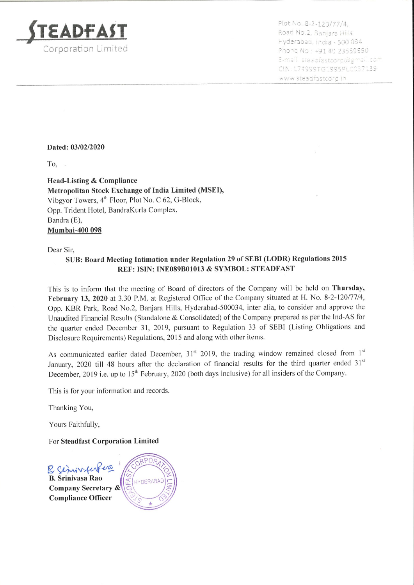

Plot No. 8-2-120/77/4<br>Road No.2, Banjara Hil<br>Hyderabad, India - 500 Hyderabad, India - 500 034<br>Phone No : +91 40 23559550<br>E-mail steadfastcorp@gmail.com CIN. L74999TG1995PLCC37139 www.steadfastcorp.in

## Dated: 03/02/2020

To,

Head-Listing & Compliance Metropolitan Stock Exchange of India Limited (MSED, Vibgyor Towers, 4" Floor, Plot No. <sup>C</sup> 62, G-Block, Opp.Trident Hotel, BandraKurla Complex, Bandra (E), Mumbai-400 <sup>098</sup>

Dear Sir,

## SUB: Board Meeting Intimation under Regulation 29 of SEBI (LODR) Regulations 2015 REF: ISIN: INE089B01013 & SYMBOL: STEADFAST

This is to inform that the meeting of Board of directors of the Company will be held on Thursday, February 13, <sup>2020</sup> at 3.30 P.M. at Registered Office of the Companysituated at H. No. 8-2-120/77/4, Opp. KBR Park, Road No.2, Banjara Hills, Hyderabad-500034, inter alia, to consider and approve the Unaudited Financial Results (Standalone & Consolidated) of the Company prepared as per the Ind-AS for the quarter ended December 31, 2019, pursuant to Regulation <sup>33</sup> of SEBI (Listing Obligations and Disclosure Requirements) Regulations, <sup>2015</sup> and along with other items.

As communicated earlier dated December,  $31<sup>st</sup>$  2019, the trading window remained closed from  $1<sup>st</sup>$ January, 2020 till 48 hours after the declaration of financial results for the third quarter ended 31<sup>st</sup> December, 2019 i.e. up to 15<sup>th</sup> February, 2020 (both days inclusive) for all insiders of the Company.

This is for your information and records.

Thanking You,

Yours Faithfully,

For Steadfast Corporation Limited